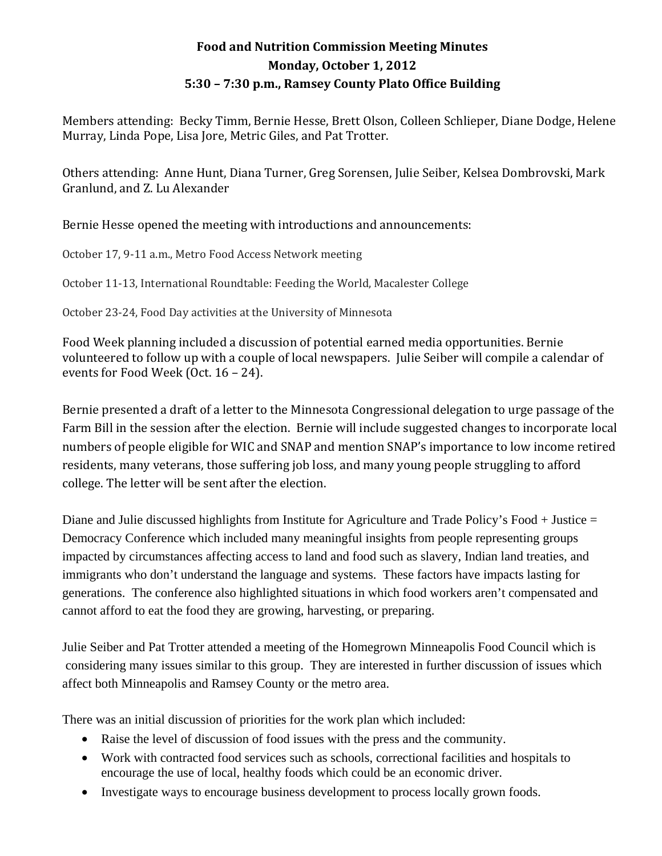## **Food and Nutrition Commission Meeting Minutes Monday, October 1, 2012 5:30 – 7:30 p.m., Ramsey County Plato Office Building**

Members attending: Becky Timm, Bernie Hesse, Brett Olson, Colleen Schlieper, Diane Dodge, Helene Murray, Linda Pope, Lisa Jore, Metric Giles, and Pat Trotter.

Others attending: Anne Hunt, Diana Turner, Greg Sorensen, Julie Seiber, Kelsea Dombrovski, Mark Granlund, and Z. Lu Alexander

Bernie Hesse opened the meeting with introductions and announcements:

October 17, 9-11 a.m., Metro Food Access Network meeting

October 11-13, International Roundtable: Feeding the World, Macalester College

October 23-24, Food Day activities at the University of Minnesota

Food Week planning included a discussion of potential earned media opportunities. Bernie volunteered to follow up with a couple of local newspapers. Julie Seiber will compile a calendar of events for Food Week (Oct. 16 – 24).

Bernie presented a draft of a letter to the Minnesota Congressional delegation to urge passage of the Farm Bill in the session after the election. Bernie will include suggested changes to incorporate local numbers of people eligible for WIC and SNAP and mention SNAP's importance to low income retired residents, many veterans, those suffering job loss, and many young people struggling to afford college. The letter will be sent after the election.

Diane and Julie discussed highlights from Institute for Agriculture and Trade Policy's Food + Justice = Democracy Conference which included many meaningful insights from people representing groups impacted by circumstances affecting access to land and food such as slavery, Indian land treaties, and immigrants who don't understand the language and systems. These factors have impacts lasting for generations. The conference also highlighted situations in which food workers aren't compensated and cannot afford to eat the food they are growing, harvesting, or preparing.

Julie Seiber and Pat Trotter attended a meeting of the Homegrown Minneapolis Food Council which is considering many issues similar to this group. They are interested in further discussion of issues which affect both Minneapolis and Ramsey County or the metro area.

There was an initial discussion of priorities for the work plan which included:

- Raise the level of discussion of food issues with the press and the community.
- Work with contracted food services such as schools, correctional facilities and hospitals to encourage the use of local, healthy foods which could be an economic driver.
- Investigate ways to encourage business development to process locally grown foods.